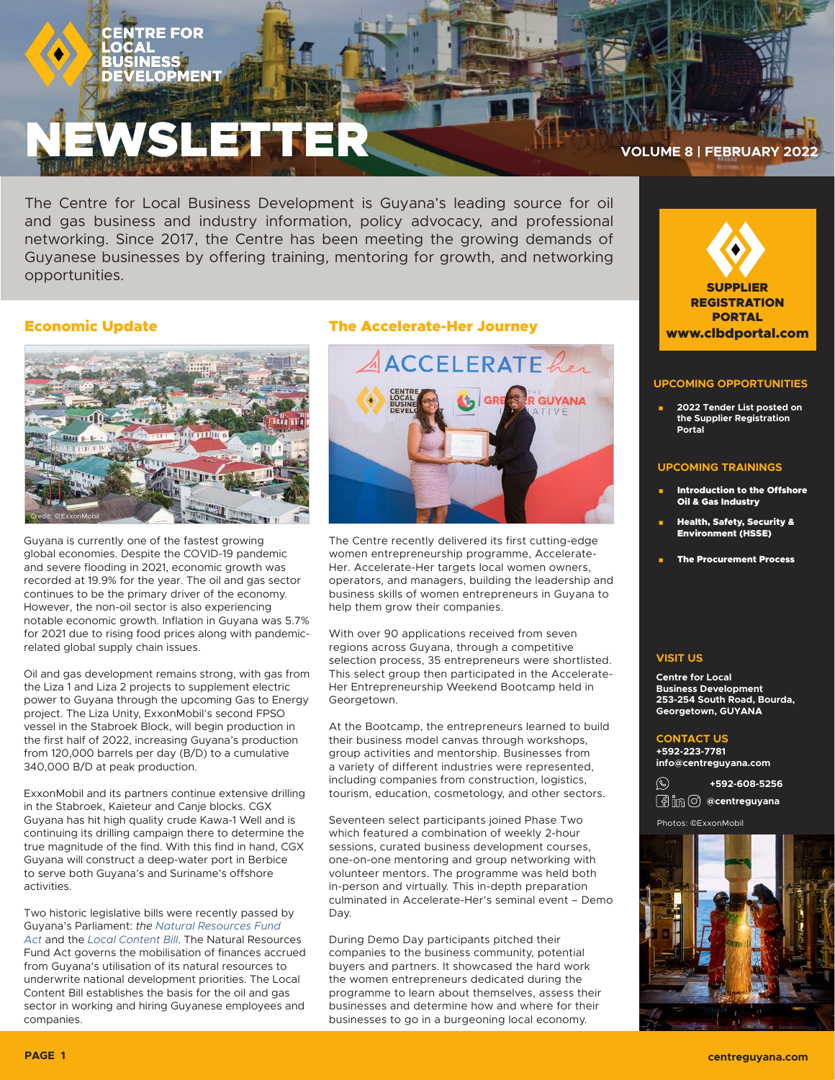# NEWSLETTER **VOLUME 8 | FEBRUARY 2022**

The Centre for Local Business Development is Guyana's leading source for oil and gas business and industry information, policy advocacy, and professional networking. Since 2017, the Centre has been meeting the growing demands of Guyanese businesses by offering training, mentoring for growth, and networking opportunities.

## Economic Update



Guyana is currently one of the fastest growing global economies. Despite the COVID-19 pandemic and severe flooding in 2021, economic growth was recorded at 19.9% for the year. The oil and gas sector continues to be the primary driver of the economy. However, the non-oil sector is also experiencing notable economic growth. Inflation in Guyana was 5.7% for 2021 due to rising food prices along with pandemicrelated global supply chain issues.

Oil and gas development remains strong, with gas from the Liza 1 and Liza 2 projects to supplement electric power to Guyana through the upcoming Gas to Energy project. The Liza Unity, ExxonMobil's second FPSO vessel in the Stabroek Block, will begin production in the first half of 2022, increasing Guyana's production from 120,000 barrels per day (B/D) to a cumulative 340,000 B/D at peak production.

ExxonMobil and its partners continue extensive drilling in the Stabroek, Kaieteur and Canje blocks. CGX Guyana has hit high quality crude Kawa-1 Well and is continuing its drilling campaign there to determine the true magnitude of the find. With this find in hand, CGX Guyana will construct a deep-water port in Berbice to serve both Guyana's and Suriname's offshore activities.

Two historic legislative bills were recently passed by Guyana's Parliament: *the [Natural Resources Fund](https://www.parliament.gov.gy/publications/acts-of-parliament/natural-resource-fund-act-2021-no.-19-of-2021)  [Act](https://www.parliament.gov.gy/publications/acts-of-parliament/natural-resource-fund-act-2021-no.-19-of-2021)* and the *[Local Content Bill](https://www.parliament.gov.gy/publications/acts-of-parliament/local-content-act-2021-no.-18-of-2021)*. The Natural Resources Fund Act governs the mobilisation of finances accrued from Guyana's utilisation of its natural resources to underwrite national development priorities. The Local Content Bill establishes the basis for the oil and gas sector in working and hiring Guyanese employees and companies.

# The Accelerate-Her Journey



The Centre recently delivered its first cutting-edge women entrepreneurship programme, Accelerate-Her. Accelerate-Her targets local women owners, operators, and managers, building the leadership and business skills of women entrepreneurs in Guyana to help them grow their companies.

With over 90 applications received from seven regions across Guyana, through a competitive selection process, 35 entrepreneurs were shortlisted. This select group then participated in the Accelerate-Her Entrepreneurship Weekend Bootcamp held in Georgetown.

At the Bootcamp, the entrepreneurs learned to build their business model canvas through workshops, group activities and mentorship. Businesses from a variety of different industries were represented, including companies from construction, logistics, tourism, education, cosmetology, and other sectors.

Seventeen select participants joined Phase Two which featured a combination of weekly 2-hour sessions, curated business development courses, one-on-one mentoring and group networking with volunteer mentors. The programme was held both in-person and virtually. This in-depth preparation culminated in Accelerate-Her's seminal event – Demo Day.

During Demo Day participants pitched their companies to the business community, potential buyers and partners. It showcased the hard work the women entrepreneurs dedicated during the programme to learn about themselves, assess their businesses and determine how and where for their businesses to go in a burgeoning local economy.



## **UPCOMING OPPORTUNITIES**

 **2022 Tender List posted on the Supplier Registration Portal**

### **UPCOMING TRAININGS**

- Introduction to the Offshore Oil & Gas Industry
- Health, Safety, Security & Environment (HSSE)
- The Procurement Process

## **VISIT US**

**Centre for Local Business Development 253-254 South Road, Bourda, Georgetown, GUYANA**

## **CONTACT US**

**+592-223-7781 info@centreguyana.com**

 $\circledast$ **+592-608-5256** *<b>@im ©* @centreguyana

Photos: ©ExxonMobil